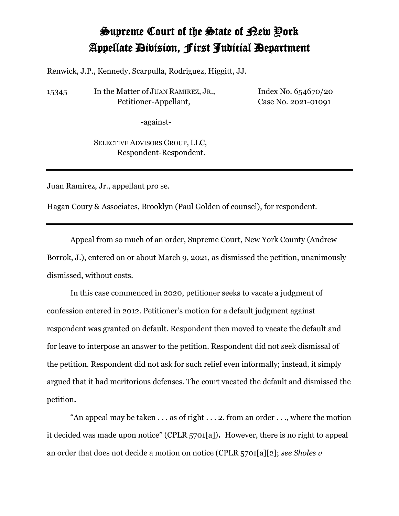## Supreme Court of the State of New York Appellate Division, First Judicial Department

Renwick, J.P., Kennedy, Scarpulla, Rodriguez, Higgitt, JJ.

15345 In the Matter of JUAN RAMIREZ, JR., Petitioner-Appellant,

Index No. 654670/20 Case No. 2021-01091

-against-

SELECTIVE ADVISORS GROUP, LLC, Respondent-Respondent.

Juan Ramirez, Jr., appellant pro se.

Hagan Coury & Associates, Brooklyn (Paul Golden of counsel), for respondent.

Appeal from so much of an order, Supreme Court, New York County (Andrew Borrok, J.), entered on or about March 9, 2021, as dismissed the petition, unanimously dismissed, without costs.

In this case commenced in 2020, petitioner seeks to vacate a judgment of confession entered in 2012. Petitioner's motion for a default judgment against respondent was granted on default. Respondent then moved to vacate the default and for leave to interpose an answer to the petition. Respondent did not seek dismissal of the petition. Respondent did not ask for such relief even informally; instead, it simply argued that it had meritorious defenses. The court vacated the default and dismissed the petition**.**

"An appeal may be taken  $\dots$  as of right  $\dots$  2. from an order  $\dots$ , where the motion it decided was made upon notice" (CPLR 5701[a])**.** However, there is no right to appeal an order that does not decide a motion on notice (CPLR 5701[a][2]; *see Sholes v*